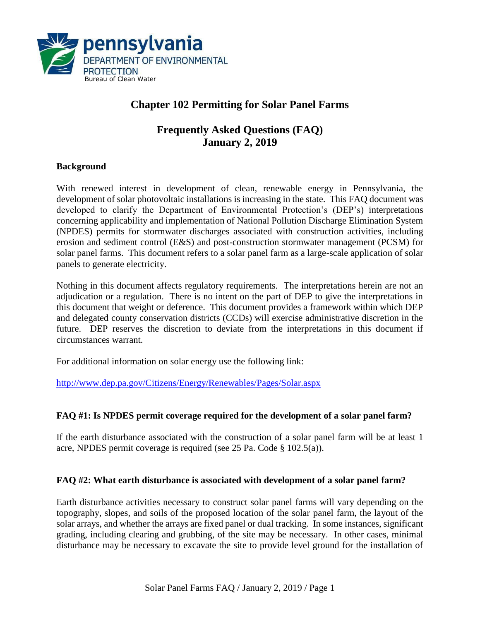

# **Chapter 102 Permitting for Solar Panel Farms**

## **Frequently Asked Questions (FAQ) January 2, 2019**

#### **Background**

With renewed interest in development of clean, renewable energy in Pennsylvania, the development of solar photovoltaic installations is increasing in the state. This FAQ document was developed to clarify the Department of Environmental Protection's (DEP's) interpretations concerning applicability and implementation of National Pollution Discharge Elimination System (NPDES) permits for stormwater discharges associated with construction activities, including erosion and sediment control (E&S) and post-construction stormwater management (PCSM) for solar panel farms. This document refers to a solar panel farm as a large-scale application of solar panels to generate electricity.

Nothing in this document affects regulatory requirements. The interpretations herein are not an adjudication or a regulation. There is no intent on the part of DEP to give the interpretations in this document that weight or deference. This document provides a framework within which DEP and delegated county conservation districts (CCDs) will exercise administrative discretion in the future. DEP reserves the discretion to deviate from the interpretations in this document if circumstances warrant.

For additional information on solar energy use the following link:

<http://www.dep.pa.gov/Citizens/Energy/Renewables/Pages/Solar.aspx>

## **FAQ #1: Is NPDES permit coverage required for the development of a solar panel farm?**

If the earth disturbance associated with the construction of a solar panel farm will be at least 1 acre, NPDES permit coverage is required (see 25 Pa. Code § 102.5(a)).

## **FAQ #2: What earth disturbance is associated with development of a solar panel farm?**

Earth disturbance activities necessary to construct solar panel farms will vary depending on the topography, slopes, and soils of the proposed location of the solar panel farm, the layout of the solar arrays, and whether the arrays are fixed panel or dual tracking. In some instances, significant grading, including clearing and grubbing, of the site may be necessary. In other cases, minimal disturbance may be necessary to excavate the site to provide level ground for the installation of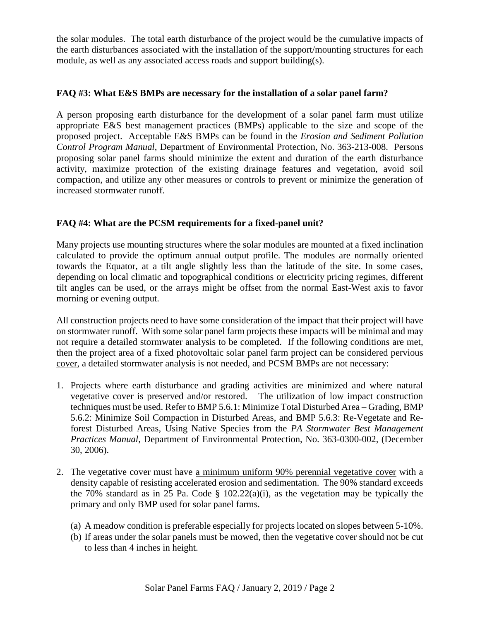the solar modules. The total earth disturbance of the project would be the cumulative impacts of the earth disturbances associated with the installation of the support/mounting structures for each module, as well as any associated access roads and support building(s).

#### **FAQ #3: What E&S BMPs are necessary for the installation of a solar panel farm?**

A person proposing earth disturbance for the development of a solar panel farm must utilize appropriate E&S best management practices (BMPs) applicable to the size and scope of the proposed project. Acceptable E&S BMPs can be found in the *Erosion and Sediment Pollution Control Program Manual*, Department of Environmental Protection, No. 363-213-008. Persons proposing solar panel farms should minimize the extent and duration of the earth disturbance activity, maximize protection of the existing drainage features and vegetation, avoid soil compaction, and utilize any other measures or controls to prevent or minimize the generation of increased stormwater runoff.

## **FAQ #4: What are the PCSM requirements for a fixed-panel unit?**

Many projects use mounting structures where the solar modules are mounted at a fixed inclination calculated to provide the optimum annual output profile. The modules are normally oriented towards the Equator, at a tilt angle slightly less than the latitude of the site. In some cases, depending on local climatic and topographical conditions or electricity pricing regimes, different tilt angles can be used, or the arrays might be offset from the normal East-West axis to favor morning or evening output.

All construction projects need to have some consideration of the impact that their project will have on stormwater runoff. With some solar panel farm projects these impacts will be minimal and may not require a detailed stormwater analysis to be completed. If the following conditions are met, then the project area of a fixed photovoltaic solar panel farm project can be considered pervious cover, a detailed stormwater analysis is not needed, and PCSM BMPs are not necessary:

- 1. Projects where earth disturbance and grading activities are minimized and where natural vegetative cover is preserved and/or restored. The utilization of low impact construction techniques must be used. Refer to BMP 5.6.1: Minimize Total Disturbed Area – Grading, BMP 5.6.2: Minimize Soil Compaction in Disturbed Areas, and BMP 5.6.3: Re-Vegetate and Reforest Disturbed Areas, Using Native Species from the *PA Stormwater Best Management Practices Manual*, Department of Environmental Protection, No. 363-0300-002, (December 30, 2006).
- 2. The vegetative cover must have a minimum uniform 90% perennial vegetative cover with a density capable of resisting accelerated erosion and sedimentation. The 90% standard exceeds the 70% standard as in 25 Pa. Code  $\S$  102.22(a)(i), as the vegetation may be typically the primary and only BMP used for solar panel farms.
	- (a) A meadow condition is preferable especially for projects located on slopes between 5-10%.
	- (b) If areas under the solar panels must be mowed, then the vegetative cover should not be cut to less than 4 inches in height.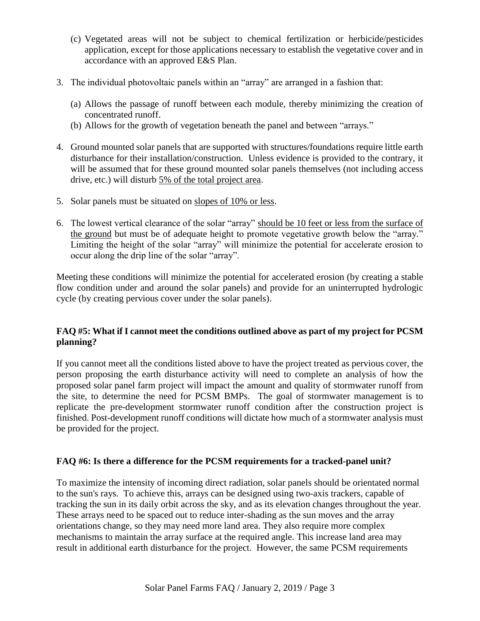- (c) Vegetated areas will not be subject to chemical fertilization or herbicide/pesticides application, except for those applications necessary to establish the vegetative cover and in accordance with an approved E&S Plan.
- 3. The individual photovoltaic panels within an "array" are arranged in a fashion that:
	- (a) Allows the passage of runoff between each module, thereby minimizing the creation of concentrated runoff.
	- (b) Allows for the growth of vegetation beneath the panel and between "arrays."
- 4. Ground mounted solar panels that are supported with structures/foundations require little earth disturbance for their installation/construction. Unless evidence is provided to the contrary, it will be assumed that for these ground mounted solar panels themselves (not including access drive, etc.) will disturb 5% of the total project area.
- 5. Solar panels must be situated on slopes of 10% or less.
- 6. The lowest vertical clearance of the solar "array" should be 10 feet or less from the surface of the ground but must be of adequate height to promote vegetative growth below the "array." Limiting the height of the solar "array" will minimize the potential for accelerate erosion to occur along the drip line of the solar "array".

Meeting these conditions will minimize the potential for accelerated erosion (by creating a stable flow condition under and around the solar panels) and provide for an uninterrupted hydrologic cycle (by creating pervious cover under the solar panels).

## **FAQ #5: What if I cannot meet the conditions outlined above as part of my project for PCSM planning?**

If you cannot meet all the conditions listed above to have the project treated as pervious cover, the person proposing the earth disturbance activity will need to complete an analysis of how the proposed solar panel farm project will impact the amount and quality of stormwater runoff from the site, to determine the need for PCSM BMPs. The goal of stormwater management is to replicate the pre-development stormwater runoff condition after the construction project is finished. Post-development runoff conditions will dictate how much of a stormwater analysis must be provided for the project.

#### **FAQ #6: Is there a difference for the PCSM requirements for a tracked-panel unit?**

To maximize the intensity of incoming direct radiation, solar panels should be orientated normal to the sun's rays. To achieve this, arrays can be designed using two-axis trackers, capable of tracking the sun in its daily orbit across the sky, and as its elevation changes throughout the year. These arrays need to be spaced out to reduce inter-shading as the sun moves and the array orientations change, so they may need more land area. They also require more complex mechanisms to maintain the array surface at the required angle. This increase land area may result in additional earth disturbance for the project. However, the same PCSM requirements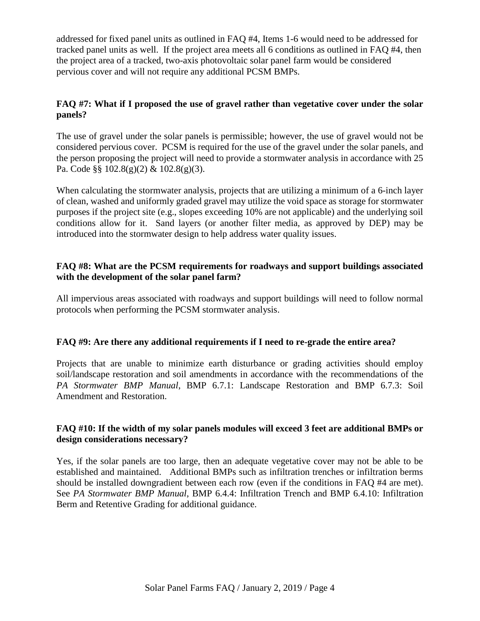addressed for fixed panel units as outlined in FAQ #4, Items 1-6 would need to be addressed for tracked panel units as well. If the project area meets all 6 conditions as outlined in FAQ #4, then the project area of a tracked, two-axis photovoltaic solar panel farm would be considered pervious cover and will not require any additional PCSM BMPs.

## **FAQ #7: What if I proposed the use of gravel rather than vegetative cover under the solar panels?**

The use of gravel under the solar panels is permissible; however, the use of gravel would not be considered pervious cover. PCSM is required for the use of the gravel under the solar panels, and the person proposing the project will need to provide a stormwater analysis in accordance with 25 Pa. Code §§ 102.8(g)(2) & 102.8(g)(3).

When calculating the stormwater analysis, projects that are utilizing a minimum of a 6-inch layer of clean, washed and uniformly graded gravel may utilize the void space as storage for stormwater purposes if the project site (e.g., slopes exceeding 10% are not applicable) and the underlying soil conditions allow for it. Sand layers (or another filter media, as approved by DEP) may be introduced into the stormwater design to help address water quality issues.

#### **FAQ #8: What are the PCSM requirements for roadways and support buildings associated with the development of the solar panel farm?**

All impervious areas associated with roadways and support buildings will need to follow normal protocols when performing the PCSM stormwater analysis.

## **FAQ #9: Are there any additional requirements if I need to re-grade the entire area?**

Projects that are unable to minimize earth disturbance or grading activities should employ soil/landscape restoration and soil amendments in accordance with the recommendations of the *PA Stormwater BMP Manual*, BMP 6.7.1: Landscape Restoration and BMP 6.7.3: Soil Amendment and Restoration.

#### **FAQ #10: If the width of my solar panels modules will exceed 3 feet are additional BMPs or design considerations necessary?**

Yes, if the solar panels are too large, then an adequate vegetative cover may not be able to be established and maintained. Additional BMPs such as infiltration trenches or infiltration berms should be installed downgradient between each row (even if the conditions in FAQ #4 are met). See *PA Stormwater BMP Manual*, BMP 6.4.4: Infiltration Trench and BMP 6.4.10: Infiltration Berm and Retentive Grading for additional guidance.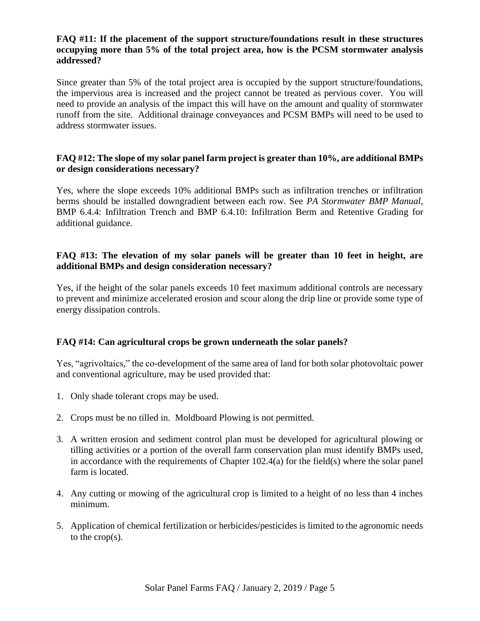#### **FAQ #11: If the placement of the support structure/foundations result in these structures occupying more than 5% of the total project area, how is the PCSM stormwater analysis addressed?**

Since greater than 5% of the total project area is occupied by the support structure/foundations, the impervious area is increased and the project cannot be treated as pervious cover. You will need to provide an analysis of the impact this will have on the amount and quality of stormwater runoff from the site. Additional drainage conveyances and PCSM BMPs will need to be used to address stormwater issues.

#### **FAQ #12: The slope of my solar panel farm project is greater than 10%, are additional BMPs or design considerations necessary?**

Yes, where the slope exceeds 10% additional BMPs such as infiltration trenches or infiltration berms should be installed downgradient between each row. See *PA Stormwater BMP Manual*, BMP 6.4.4: Infiltration Trench and BMP 6.4.10: Infiltration Berm and Retentive Grading for additional guidance.

#### **FAQ #13: The elevation of my solar panels will be greater than 10 feet in height, are additional BMPs and design consideration necessary?**

Yes, if the height of the solar panels exceeds 10 feet maximum additional controls are necessary to prevent and minimize accelerated erosion and scour along the drip line or provide some type of energy dissipation controls.

## **FAQ #14: Can agricultural crops be grown underneath the solar panels?**

Yes, "agrivoltaics," the co-development of the same area of land for both solar photovoltaic power and conventional agriculture, may be used provided that:

- 1. Only shade tolerant crops may be used.
- 2. Crops must be no tilled in. Moldboard Plowing is not permitted.
- 3. A written erosion and sediment control plan must be developed for agricultural plowing or tilling activities or a portion of the overall farm conservation plan must identify BMPs used, in accordance with the requirements of Chapter 102.4(a) for the field(s) where the solar panel farm is located.
- 4. Any cutting or mowing of the agricultural crop is limited to a height of no less than 4 inches minimum.
- 5. Application of chemical fertilization or herbicides/pesticides is limited to the agronomic needs to the crop(s).